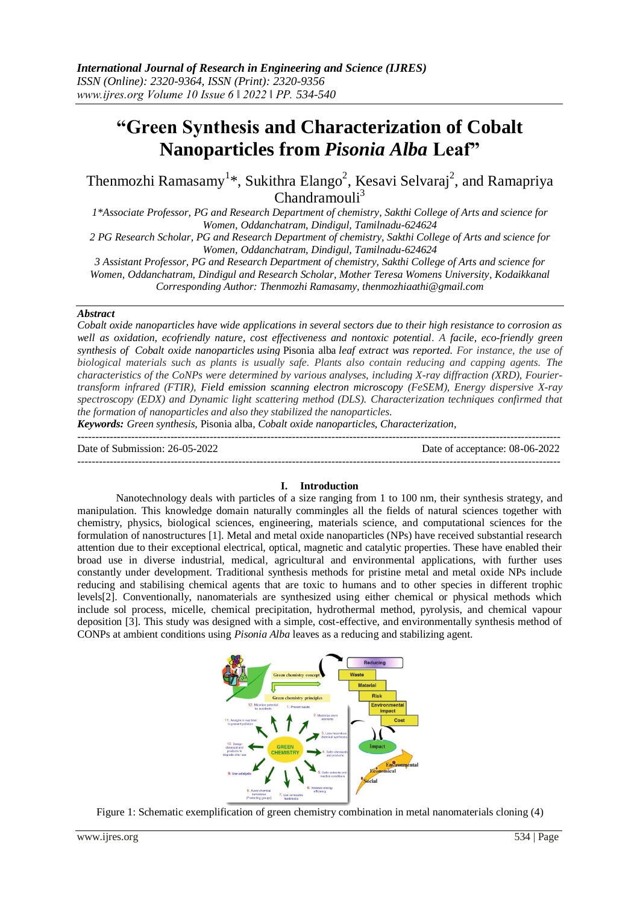# **"Green Synthesis and Characterization of Cobalt Nanoparticles from** *Pisonia Alba* **Leaf"**

Thenmozhi Ramasamy<sup>1\*</sup>, Sukithra Elango<sup>2</sup>, Kesavi Selvaraj<sup>2</sup>, and Ramapriya  $Chandramouli<sup>3</sup>$ 

*1\*Associate Professor, PG and Research Department of chemistry, Sakthi College of Arts and science for Women, Oddanchatram, Dindigul, Tamilnadu-624624*

*2 PG Research Scholar, PG and Research Department of chemistry, Sakthi College of Arts and science for Women, Oddanchatram, Dindigul, Tamilnadu-624624*

*3 Assistant Professor, PG and Research Department of chemistry, Sakthi College of Arts and science for Women, Oddanchatram, Dindigul and Research Scholar, Mother Teresa Womens University, Kodaikkanal Corresponding Author: Thenmozhi Ramasamy, thenmozhiaathi@gmail.com*

#### *Abstract*

*Cobalt oxide nanoparticles have wide applications in several sectors due to their high resistance to corrosion as well as oxidation, ecofriendly nature, cost effectiveness and nontoxic potential. A facile, eco-friendly green synthesis of Cobalt oxide nanoparticles using* Pisonia alba *leaf extract was reported. For instance, the use of biological materials such as plants is usually safe. Plants also contain reducing and capping agents. The characteristics of the CoNPs were determined by various analyses, including X-ray diffraction (XRD), Fouriertransform infrared (FTIR), Field emission scanning electron microscopy (FeSEM), Energy dispersive X-ray spectroscopy (EDX) and Dynamic light scattering method (DLS). Characterization techniques confirmed that the formation of nanoparticles and also they stabilized the nanoparticles.*

*Keywords: Green synthesis,* Pisonia alba*, Cobalt oxide nanoparticles, Characterization,*

| Date of Submission: 26-05-2022 | Date of acceptance: 08-06-2022 |
|--------------------------------|--------------------------------|
|                                |                                |

## **I. Introduction**

Nanotechnology deals with particles of a size ranging from 1 to 100 nm, their synthesis strategy, and manipulation. This knowledge domain naturally commingles all the fields of natural sciences together with chemistry, physics, biological sciences, engineering, materials science, and computational sciences for the formulation of nanostructures [1]. Metal and metal oxide nanoparticles (NPs) have received substantial research attention due to their exceptional electrical, optical, magnetic and catalytic properties. These have enabled their broad use in diverse industrial, medical, agricultural and environmental applications, with further uses constantly under development. Traditional synthesis methods for pristine metal and metal oxide NPs include reducing and stabilising chemical agents that are toxic to humans and to other species in different trophic levels[2]. Conventionally, nanomaterials are synthesized using either chemical or physical methods which include sol process, micelle, chemical precipitation, hydrothermal method, pyrolysis, and chemical vapour deposition [3]. This study was designed with a simple, cost-effective, and environmentally synthesis method of CONPs at ambient conditions using *Pisonia Alba* leaves as a reducing and stabilizing agent.

Material

Figure 1: Schematic exemplification of green chemistry combination in metal nanomaterials cloning (4)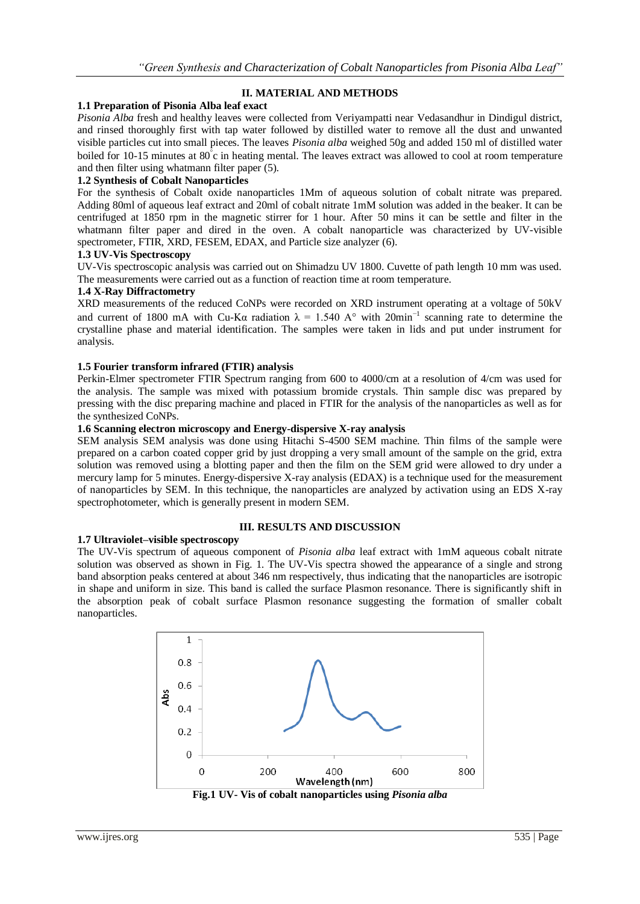## **II. MATERIAL AND METHODS**

## **1.1 Preparation of Pisonia Alba leaf exact**

*Pisonia Alba* fresh and healthy leaves were collected from Veriyampatti near Vedasandhur in Dindigul district, and rinsed thoroughly first with tap water followed by distilled water to remove all the dust and unwanted visible particles cut into small pieces. The leaves *Pisonia alba* weighed 50g and added 150 ml of distilled water boiled for 10-15 minutes at 80°c in heating mental. The leaves extract was allowed to cool at room temperature and then filter using whatmann filter paper (5).

## **1.2 Synthesis of Cobalt Nanoparticles**

For the synthesis of Cobalt oxide nanoparticles 1Mm of aqueous solution of cobalt nitrate was prepared. Adding 80ml of aqueous leaf extract and 20ml of cobalt nitrate 1mM solution was added in the beaker. It can be centrifuged at 1850 rpm in the magnetic stirrer for 1 hour. After 50 mins it can be settle and filter in the whatmann filter paper and dired in the oven. A cobalt nanoparticle was characterized by UV-visible spectrometer, FTIR, XRD, FESEM, EDAX, and Particle size analyzer (6).

## **1.3 UV-Vis Spectroscopy**

UV-Vis spectroscopic analysis was carried out on Shimadzu UV 1800. Cuvette of path length 10 mm was used. The measurements were carried out as a function of reaction time at room temperature.

## **1.4 X-Ray Diffractometry**

XRD measurements of the reduced CoNPs were recorded on XRD instrument operating at a voltage of 50kV and current of 1800 mA with Cu-K $\alpha$  radiation  $\lambda = 1.540$  A° with 20min<sup>-1</sup> scanning rate to determine the crystalline phase and material identification. The samples were taken in lids and put under instrument for analysis.

## **1.5 Fourier transform infrared (FTIR) analysis**

Perkin-Elmer spectrometer FTIR Spectrum ranging from 600 to 4000/cm at a resolution of 4/cm was used for the analysis. The sample was mixed with potassium bromide crystals. Thin sample disc was prepared by pressing with the disc preparing machine and placed in FTIR for the analysis of the nanoparticles as well as for the synthesized CoNPs.

## **1.6 Scanning electron microscopy and Energy-dispersive X-ray analysis**

SEM analysis SEM analysis was done using Hitachi S-4500 SEM machine. Thin films of the sample were prepared on a carbon coated copper grid by just dropping a very small amount of the sample on the grid, extra solution was removed using a blotting paper and then the film on the SEM grid were allowed to dry under a mercury lamp for 5 minutes. Energy-dispersive X-ray analysis (EDAX) is a technique used for the measurement of nanoparticles by SEM. In this technique, the nanoparticles are analyzed by activation using an EDS X-ray spectrophotometer, which is generally present in modern SEM.

## **III. RESULTS AND DISCUSSION**

## **1.7 Ultraviolet–visible spectroscopy**

The UV-Vis spectrum of aqueous component of *Pisonia alba* leaf extract with 1mM aqueous cobalt nitrate solution was observed as shown in Fig. 1. The UV-Vis spectra showed the appearance of a single and strong band absorption peaks centered at about 346 nm respectively, thus indicating that the nanoparticles are isotropic in shape and uniform in size. This band is called the surface Plasmon resonance. There is significantly shift in the absorption peak of cobalt surface Plasmon resonance suggesting the formation of smaller cobalt nanoparticles.



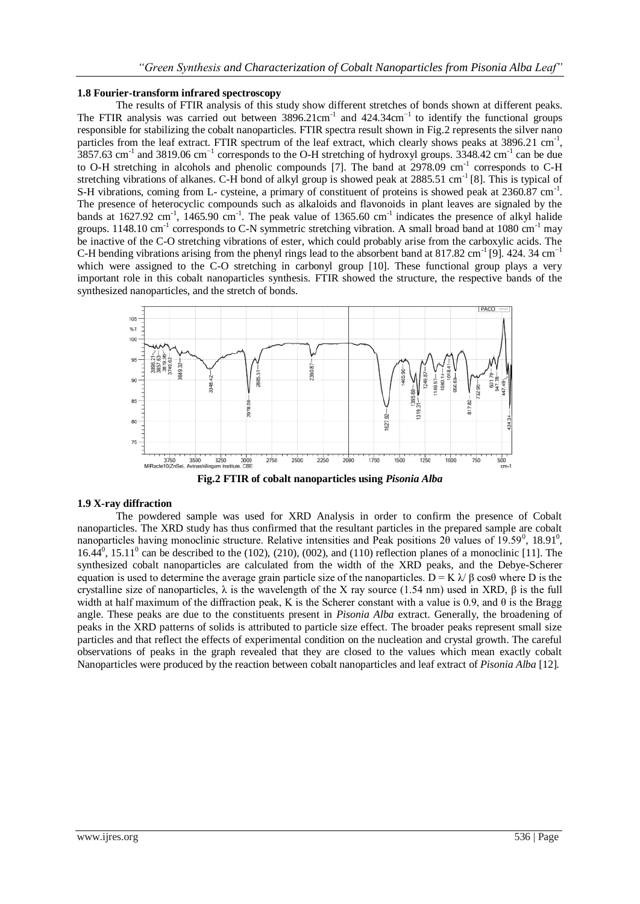## **1.8 Fourier-transform infrared spectroscopy**

The results of FTIR analysis of this study show different stretches of bonds shown at different peaks. The FTIR analysis was carried out between  $3896.21 \text{cm}^{-1}$  and  $424.34 \text{cm}^{-1}$  to identify the functional groups responsible for stabilizing the cobalt nanoparticles. FTIR spectra result shown in Fig.2 represents the silver nano particles from the leaf extract. FTIR spectrum of the leaf extract, which clearly shows peaks at 3896.21 cm<sup>-1</sup>,  $3857.63$  cm<sup>-1</sup> and 3819.06 cm<sup>-1</sup> corresponds to the O-H stretching of hydroxyl groups. 3348.42 cm<sup>-1</sup> can be due to O-H stretching in alcohols and phenolic compounds [7]. The band at 2978.09 cm<sup>-1</sup> corresponds to C-H stretching vibrations of alkanes. C-H bond of alkyl group is showed peak at  $2885.51 \text{ cm}^{-1}$  [8]. This is typical of S-H vibrations, coming from L- cysteine, a primary of constituent of proteins is showed peak at 2360.87 cm<sup>-1</sup>. The presence of heterocyclic compounds such as alkaloids and flavonoids in plant leaves are signaled by the bands at  $1627.92 \text{ cm}^{-1}$ ,  $1465.90 \text{ cm}^{-1}$ . The peak value of  $1365.60 \text{ cm}^{-1}$  indicates the presence of alkyl halide groups. 1148.10 cm<sup>-1</sup> corresponds to C-N symmetric stretching vibration. A small broad band at 1080 cm<sup>-1</sup> may be inactive of the C-O stretching vibrations of ester, which could probably arise from the carboxylic acids. The C-H bending vibrations arising from the phenyl rings lead to the absorbent band at  $817.82 \text{ cm}^{-1}$  [9]. 424. 34 cm<sup>-1</sup> which were assigned to the C-O stretching in carbonyl group [10]. These functional group plays a very important role in this cobalt nanoparticles synthesis. FTIR showed the structure, the respective bands of the synthesized nanoparticles, and the stretch of bonds.



**Fig.2 FTIR of cobalt nanoparticles using** *Pisonia Alba*

#### **1.9 X-ray diffraction**

The powdered sample was used for XRD Analysis in order to confirm the presence of Cobalt nanoparticles. The XRD study has thus confirmed that the resultant particles in the prepared sample are cobalt nanoparticles having monoclinic structure. Relative intensities and Peak positions  $2\theta$  values of  $19.59^{\circ}$ ,  $18.91^{\circ}$ ,  $16.44^0$ ,  $15.11^0$  can be described to the (102), (210), (002), and (110) reflection planes of a monoclinic [11]. The synthesized cobalt nanoparticles are calculated from the width of the XRD peaks, and the Debye-Scherer equation is used to determine the average grain particle size of the nanoparticles.  $D = K \lambda / \beta \cos\theta$  where D is the crystalline size of nanoparticles,  $\lambda$  is the wavelength of the X ray source (1.54 nm) used in XRD, β is the full width at half maximum of the diffraction peak, K is the Scherer constant with a value is 0.9, and  $\theta$  is the Bragg angle. These peaks are due to the constituents present in *Pisonia Alba* extract. Generally, the broadening of peaks in the XRD patterns of solids is attributed to particle size effect. The broader peaks represent small size particles and that reflect the effects of experimental condition on the nucleation and crystal growth. The careful observations of peaks in the graph revealed that they are closed to the values which mean exactly cobalt Nanoparticles were produced by the reaction between cobalt nanoparticles and leaf extract of *Pisonia Alba* [12]*.*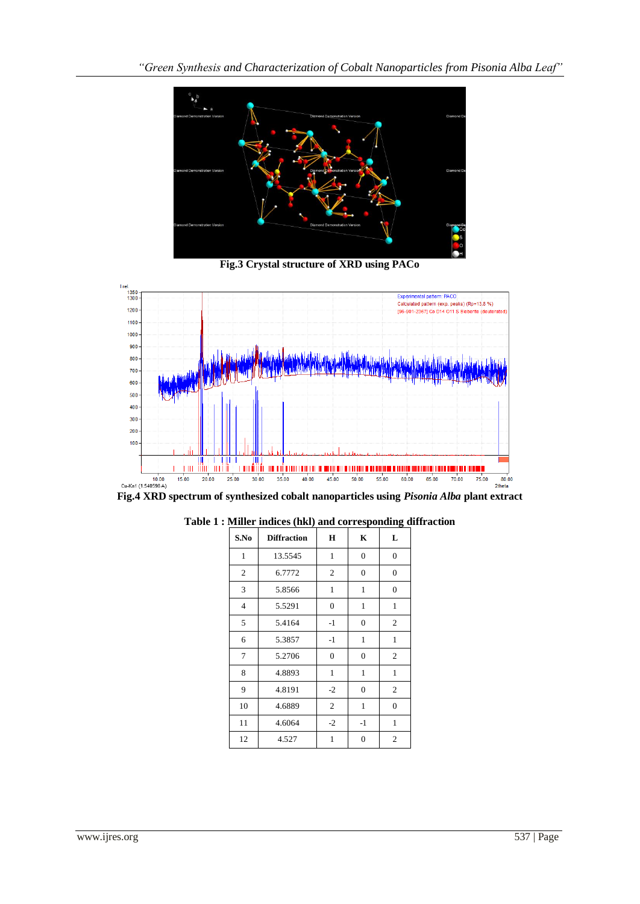

**Fig.3 Crystal structure of XRD using PACo**



**Fig.4 XRD spectrum of synthesized cobalt nanoparticles using** *Pisonia Alba* **plant extract**

| S.No           | <b>Diffraction</b> | $\mathbf H$    | $\mathbf K$      | L              |
|----------------|--------------------|----------------|------------------|----------------|
| $\mathbf{1}$   | 13.5545            | $\mathbf{1}$   | $\overline{0}$   | $\overline{0}$ |
| 2              | 6.7772             | $\mathfrak{2}$ | $\boldsymbol{0}$ | $\overline{0}$ |
| 3              | 5.8566             | $\mathbf{1}$   | $\mathbf{1}$     | $\overline{0}$ |
| $\overline{4}$ | 5.5291             | $\overline{0}$ | 1                | $\mathbf{1}$   |
| 5              | 5.4164             | $-1$           | $\overline{0}$   | 2              |
| 6              | 5.3857             | $-1$           | 1                | $\mathbf{1}$   |
| 7              | 5.2706             | $\mathbf{0}$   | $\overline{0}$   | 2              |
| 8              | 4.8893             | $\mathbf{1}$   | 1                | $\mathbf{1}$   |
| 9              | 4.8191             | $-2$           | $\overline{0}$   | $\mathfrak{2}$ |
| 10             | 4.6889             | $\overline{2}$ | 1                | $\theta$       |
| 11             | 4.6064             | $-2$           | $-1$             | 1              |
| 12             | 4.527              | 1              | $\overline{0}$   | 2              |

**Table 1 : Miller indices (hkl) and corresponding diffraction**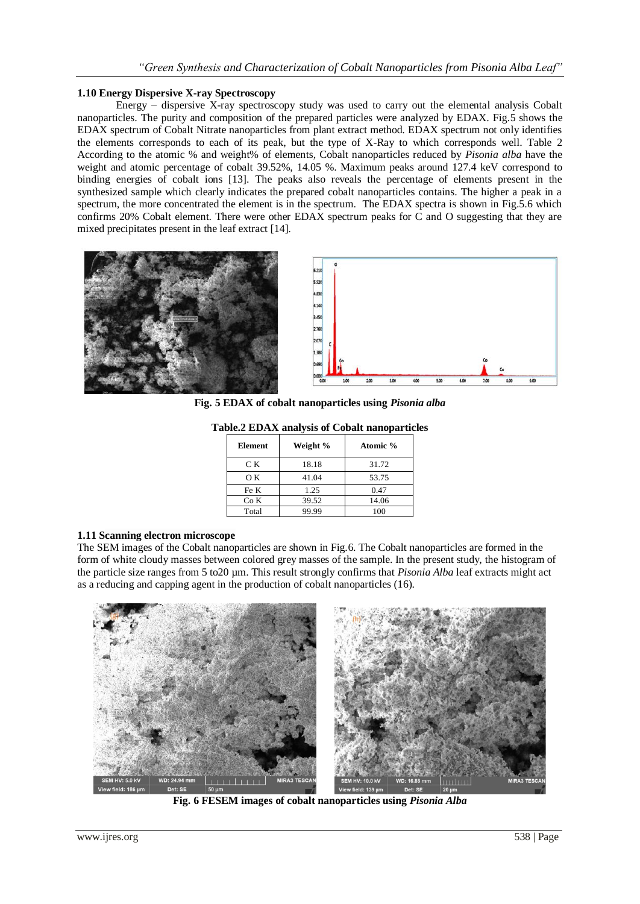## **1.10 Energy Dispersive X-ray Spectroscopy**

Energy  $-$  dispersive X-ray spectroscopy study was used to carry out the elemental analysis Cobalt nanoparticles. The purity and composition of the prepared particles were analyzed by EDAX. Fig.5 shows the EDAX spectrum of Cobalt Nitrate nanoparticles from plant extract method. EDAX spectrum not only identifies the elements corresponds to each of its peak, but the type of X-Ray to which corresponds well. Table 2 According to the atomic % and weight% of elements, Cobalt nanoparticles reduced by *Pisonia alba* have the weight and atomic percentage of cobalt 39.52%, 14.05 %. Maximum peaks around 127.4 keV correspond to binding energies of cobalt ions [13]. The peaks also reveals the percentage of elements present in the synthesized sample which clearly indicates the prepared cobalt nanoparticles contains. The higher a peak in a spectrum, the more concentrated the element is in the spectrum. The EDAX spectra is shown in Fig.5.6 which confirms 20% Cobalt element. There were other EDAX spectrum peaks for C and O suggesting that they are mixed precipitates present in the leaf extract [14].





**Fig. 5 EDAX of cobalt nanoparticles using** *Pisonia alba*

| <b>Element</b> | Weight % | Atomic % |
|----------------|----------|----------|
| C K            | 18.18    | 31.72    |
| OК             | 41.04    | 53.75    |
| Fe K           | 1.25     | 0.47     |
| Co K           | 39.52    | 14.06    |
| Total          | 99.99    | 100      |

**Table.2 EDAX analysis of Cobalt nanoparticles**

## **1.11 Scanning electron microscope**

The SEM images of the Cobalt nanoparticles are shown in Fig.6. The Cobalt nanoparticles are formed in the form of white cloudy masses between colored grey masses of the sample. In the present study, the histogram of the particle size ranges from 5 to20 µm. This result strongly confirms that *Pisonia Alba* leaf extracts might act as a reducing and capping agent in the production of cobalt nanoparticles (16).



**Fig. 6 FESEM images of cobalt nanoparticles using** *Pisonia Alba*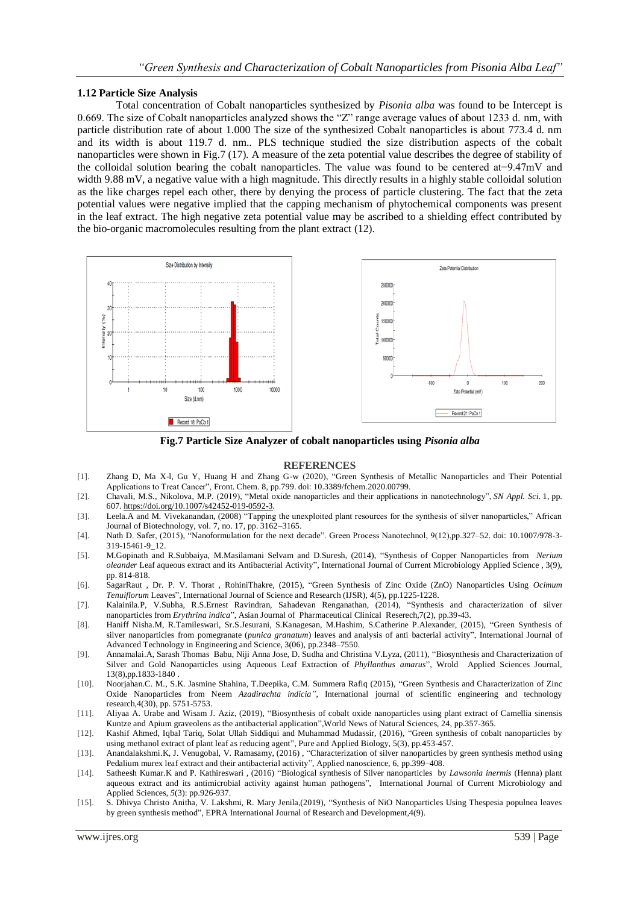#### **1.12 Particle Size Analysis**

Total concentration of Cobalt nanoparticles synthesized by *Pisonia alba* was found to be Intercept is 0.669. The size of Cobalt nanoparticles analyzed shows the "Z" range average values of about 1233 d. nm, with particle distribution rate of about 1.000 The size of the synthesized Cobalt nanoparticles is about 773.4 d. nm and its width is about 119.7 d. nm.*.* PLS technique studied the size distribution aspects of the cobalt nanoparticles were shown in Fig.7 (17). A measure of the zeta potential value describes the degree of stability of the colloidal solution bearing the cobalt nanoparticles. The value was found to be centered at−9.47mV and width 9.88 mV, a negative value with a high magnitude. This directly results in a highly stable colloidal solution as the like charges repel each other, there by denying the process of particle clustering. The fact that the zeta potential values were negative implied that the capping mechanism of phytochemical components was present in the leaf extract. The high negative zeta potential value may be ascribed to a shielding effect contributed by the bio-organic macromolecules resulting from the plant extract (12).



**Fig.7 Particle Size Analyzer of cobalt nanoparticles using** *Pisonia alba*

#### **REFERENCES**

- [1]. Zhang D, Ma X-l, Gu Y, Huang H and Zhang G-w (2020), "Green Synthesis of Metallic Nanoparticles and Their Potential Applications to Treat Cancer", Front. Chem. 8, pp.799. doi: 10.3389/fchem.2020.00799.
- [2]. Chavali, M.S., Nikolova, M.P. (2019), "Metal oxide nanoparticles and their applications in nanotechnology", *SN Appl. Sci.* 1, pp. 607[. https://doi.org/10.1007/s42452-019-0592-3.](https://doi.org/10.1007/s42452-019-0592-3)
- [3]. Leela.A and M. Vivekanandan, (2008) "Tapping the unexploited plant resources for the synthesis of silver nanoparticles," African Journal of Biotechnology, vol. 7, no. 17, pp. 3162–3165.
- [4]. Nath D. Safer, (2015), "Nanoformulation for the next decade". Green Process Nanotechnol, 9(12),pp.327–52. doi: 10.1007/978-3- 319-15461-9\_12.
- [5]. M.Gopinath and R.Subbaiya, M.Masilamani Selvam and D.Suresh, (2014), "Synthesis of Copper Nanoparticles from *Nerium oleander* Leaf aqueous extract and its Antibacterial Activity", International Journal of Current Microbiology Applied Science , 3(9), pp. 814-818.
- [6]. SagarRaut , Dr. P. V. Thorat , RohiniThakre, (2015), "Green Synthesis of Zinc Oxide (ZnO) Nanoparticles Using *Ocimum Tenuiflorum* Leaves", International Journal of Science and Research (IJSR), 4(5), pp.1225-1228.
- [7]. Kalainila.P, V.Subha, R.S.Ernest Ravindran, Sahadevan Renganathan, (2014), "Synthesis and characterization of silver nanoparticles from *Erythrina indica*", Asian Journal of Pharmaceutical Clinical Reserech,7(2), pp.39-43.
- [8]. Haniff Nisha.M, R.Tamileswari, Sr.S.Jesurani, S.Kanagesan, M.Hashim, S.Catherine P.Alexander, (2015), "Green Synthesis of silver nanoparticles from pomegranate (*punica granatum*) leaves and analysis of anti bacterial activity", International Journal of Advanced Technology in Engineering and Science, 3(06), pp.2348–7550.
- [9]. Annamalai.A, Sarash Thomas Babu, Niji Anna Jose, D. Sudha and Christina V.Lyza, (2011), "Biosynthesis and Characterization of Silver and Gold Nanoparticles using Aqueous Leaf Extraction of *Phyllanthus amarus*", Wrold Applied Sciences Journal, 13(8),pp.1833-1840 .
- [10]. Noorjahan.C. M., S.K. Jasmine Shahina, T.Deepika, C.M. Summera Rafiq (2015), "Green Synthesis and Characterization of Zinc Oxide Nanoparticles from Neem *Azadirachta indicia"*, International journal of scientific engineering and technology research,4(30), pp. 5751-5753.
- [11]. Aliyaa A. Urabe and Wisam J. Aziz, (2019), "Biosynthesis of cobalt oxide nanoparticles using plant extract of Camellia sinensis Kuntze and Apium graveolens as the antibacterial application",World News of Natural Sciences, 24, pp.357-365.
- [12]. Kashif Ahmed, Iqbal Tariq, Solat Ullah Siddiqui and Muhammad Mudassir, (2016), "Green synthesis of cobalt nanoparticles by using methanol extract of plant leaf as reducing agent", Pure and Applied Biology, 5(3), pp.453-457.
- [13]. Anandalakshmi.K, J. Venugobal, V. Ramasamy, (2016) , "Characterization of silver nanoparticles by green synthesis method using Pedalium murex leaf extract and their antibacterial activity", Applied nanoscience, 6, pp.399–408.
- [14]. Satheesh Kumar.K and P. Kathireswari , (2016) "Biological synthesis of Silver nanoparticles by *Lawsonia inermis* (Henna) plant aqueous extract and its antimicrobial activity against human pathogens", International Journal of Current Microbiology and Applied Sciences, *5*(3): pp.926-937.
- [15]. S. Dhivya Christo Anitha, V. Lakshmi, R. Mary Jenila,(2019), "Synthesis of NiO Nanoparticles Using Thespesia populnea leaves by green synthesis method", EPRA International Journal of Research and Development,4(9).